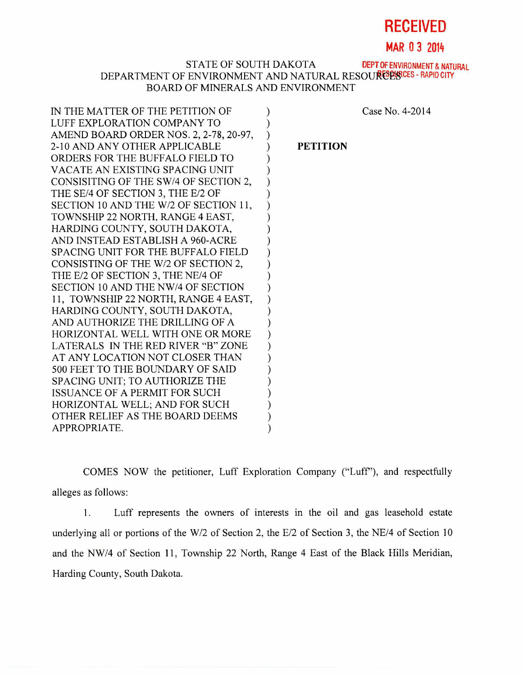# **RECEIVED**

**MAR 0 3 2014** 

## STATE OF SOUTH DAKOTA DEPT OF ENVIRONMENT & NATURAL DEPARTMENT OF ENVIRONMENT AND NATURAL RESOURES PRAPID CITY BOARD OF MINERALS AND ENVIRONMENT

| IN THE MATTER OF THE PETITION OF        |  |
|-----------------------------------------|--|
| LUFF EXPLORATION COMPANY TO             |  |
| AMEND BOARD ORDER NOS. 2, 2-78, 20-97,  |  |
| 2-10 AND ANY OTHER APPLICABLE           |  |
| ORDERS FOR THE BUFFALO FIELD TO         |  |
| VACATE AN EXISTING SPACING UNIT         |  |
| CONSISITING OF THE SW/4 OF SECTION 2,   |  |
| THE SE/4 OF SECTION 3, THE E/2 OF       |  |
| SECTION 10 AND THE W/2 OF SECTION 11,   |  |
| TOWNSHIP 22 NORTH, RANGE 4 EAST,        |  |
| HARDING COUNTY, SOUTH DAKOTA,           |  |
| AND INSTEAD ESTABLISH A 960-ACRE        |  |
| SPACING UNIT FOR THE BUFFALO FIELD      |  |
| CONSISTING OF THE W/2 OF SECTION 2,     |  |
| THE E/2 OF SECTION 3, THE NE/4 OF       |  |
| SECTION 10 AND THE NW/4 OF SECTION      |  |
| 11, TOWNSHIP 22 NORTH, RANGE 4 EAST,    |  |
| HARDING COUNTY, SOUTH DAKOTA,           |  |
| AND AUTHORIZE THE DRILLING OF A         |  |
| HORIZONTAL WELL WITH ONE OR MORE        |  |
| LATERALS IN THE RED RIVER "B" ZONE      |  |
| AT ANY LOCATION NOT CLOSER THAN         |  |
| <b>500 FEET TO THE BOUNDARY OF SAID</b> |  |
| SPACING UNIT; TO AUTHORIZE THE          |  |
| <b>ISSUANCE OF A PERMIT FOR SUCH</b>    |  |
| HORIZONTAL WELL; AND FOR SUCH           |  |
| OTHER RELIEF AS THE BOARD DEEMS         |  |
| APPROPRIATE.                            |  |
|                                         |  |

Case No. 4-2014

### **PETITION**

COMES NOW the petitioner, Luff Exploration Company ("Luff'), and respectfully alleges as follows:

1. Luff represents the owners of interests in the oil and gas leasehold estate underlying all or portions of the W/2 of Section 2, the E/2 of Section 3, the NE/4 of Section 10 and the NW/4 of Section 11, Township 22 North, Range 4 East of the Black Hills Meridian, Harding County, South Dakota.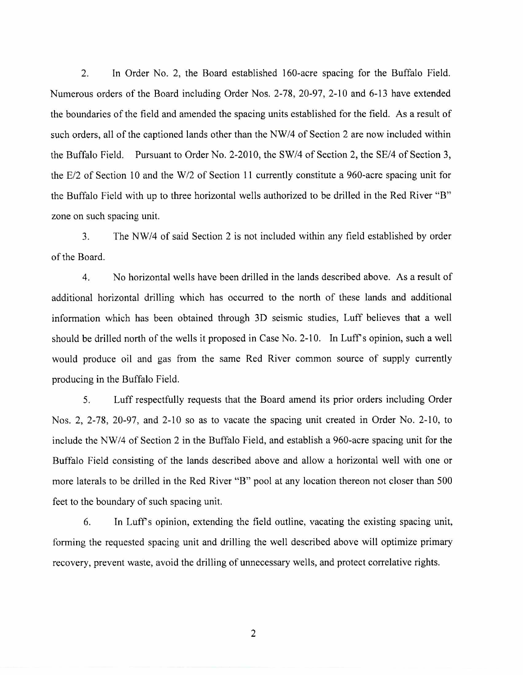2. In Order No. 2, the Board established 160-acre spacing for the Buffalo Field. Numerous orders of the Board including Order Nos. 2-78, 20-97, 2-10 and 6-13 have extended the boundaries of the field and amended the spacing units established for the field. As a result of such orders, all of the captioned lands other than the NW/4 of Section 2 are now included within the Buffalo Field. Pursuant to Order No. 2-2010, the SW/4 of Section 2, the SE/4 of Section 3, the E/2 of Section 10 and the W/2 of Section 11 currently constitute a 960-acre spacing unit for the Buffalo Field with up to three horizontal wells authorized to be drilled in the Red River "B" zone on such spacing unit.

3. The NW/4 of said Section 2 is not included within any field established by order of the Board.

4. No horizontal wells have been drilled in the lands described above. As a result of additional horizontal drilling which has occurred to the north of these lands and additional information which has been obtained through 3D seismic studies, Luff believes that a well should be drilled north of the wells it proposed in Case No. 2-10. In Luff's opinion, such a well would produce oil and gas from the same Red River common source of supply currently producing in the Buffalo Field.

5. Luff respectfully requests that the Board amend its prior orders including Order Nos. 2, 2-78, 20-97, and 2-10 so as to vacate the spacing unit created in Order No. 2-10, to include the NW/4 of Section 2 in the Buffalo Field, and establish a 960-acre spacing unit for the Buffalo Field consisting of the lands described above and allow a horizontal well with one or more laterals to be drilled in the Red River "B" pool at any location thereon not closer than 500 feet to the boundary of such spacing unit.

6. In Luff's opinion, extending the field outline, vacating the existing spacing unit, forming the requested spacing unit and drilling the well described above will optimize primary recovery, prevent waste, avoid the drilling of unnecessary wells, and protect correlative rights.

2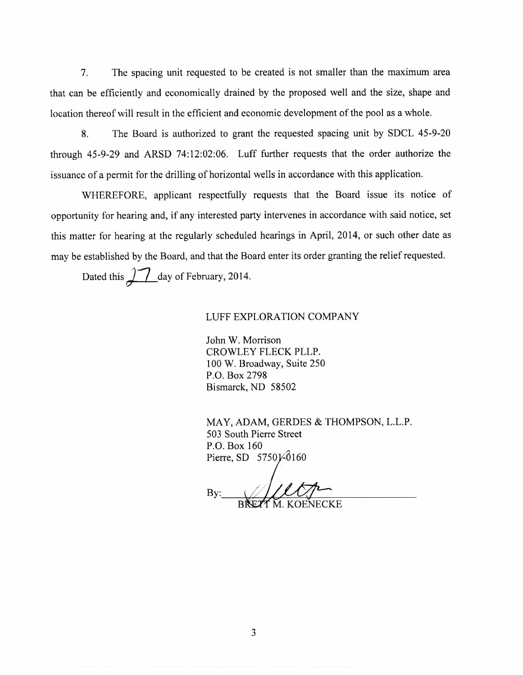7. The spacing unit requested to be created is not smaller than the maximum area that can be efficiently and economically drained by the proposed well and the size, shape and location thereof will result in the efficient and economic development of the pool as a whole.

8. The Board is authorized to grant the requested spacing unit by SDCL 45-9-20 through 45-9-29 and ARSD 74:12:02:06. Luff further requests that the order authorize the issuance of a permit for the drilling of horizontal wells in accordance with this application.

WHEREFORE, applicant respectfully requests that the Board issue its notice of opportunity for hearing and, if any interested party intervenes in accordance with said notice, set this matter for hearing at the regularly scheduled hearings in April, 2014, or such other date as may be established by the Board, and that the Board enter its order granting the relief requested.

Dated this  $\sqrt{ }$  day of February, 2014.

### LUFF EXPLORATION COMPANY

John W. Morrison CROWLEY FLECK PLLP. 100 W. Broadway, Suite 250 P.O. Box 2798 Bismarck, ND 58502

MAY, ADAM, GERDES & THOMPSON, L.L.P. 503 South Pierre Street P.O. Box 160 Pierre, SD 57501-0160

By: M. KOENECKE